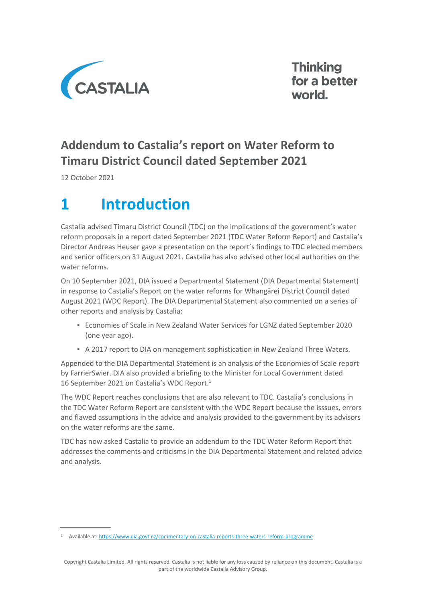

**Thinking** for a better world.

## **Addendum to Castalia's report on Water Reform to Timaru District Council dated September 2021**

12 October 2021

# **1 Introduction**

Castalia advised Timaru District Council (TDC) on the implications of the government's water reform proposals in a report dated September 2021 (TDC Water Reform Report) and Castalia's Director Andreas Heuser gave a presentation on the report's findings to TDC elected members and senior officers on 31 August 2021. Castalia has also advised other local authorities on the water reforms.

On 10 September 2021, DIA issued a Departmental Statement (DIA Departmental Statement) in response to Castalia's Report on the water reforms for Whangārei District Council dated August 2021 (WDC Report). The DIA Departmental Statement also commented on a series of other reports and analysis by Castalia:

- Economies of Scale in New Zealand Water Services for LGNZ dated September 2020 (one year ago).
- A 2017 report to DIA on management sophistication in New Zealand Three Waters.

Appended to the DIA Departmental Statement is an analysis of the Economies of Scale report by FarrierSwier. DIA also provided a briefing to the Minister for Local Government dated 16 September 2021 on Castalia's WDC Report. 1

The WDC Report reaches conclusions that are also relevant to TDC. Castalia's conclusions in the TDC Water Reform Report are consistent with the WDC Report because the isssues, errors and flawed assumptions in the advice and analysis provided to the government by its advisors on the water reforms are the same.

TDC has now asked Castalia to provide an addendum to the TDC Water Reform Report that addresses the comments and criticisms in the DIA Departmental Statement and related advice and analysis.

<sup>&</sup>lt;sup>1</sup> Available at[: https://www.dia.govt.nz/commentary-on-castalia-reports-three-waters-reform-programme](https://www.dia.govt.nz/commentary-on-castalia-reports-three-waters-reform-programme)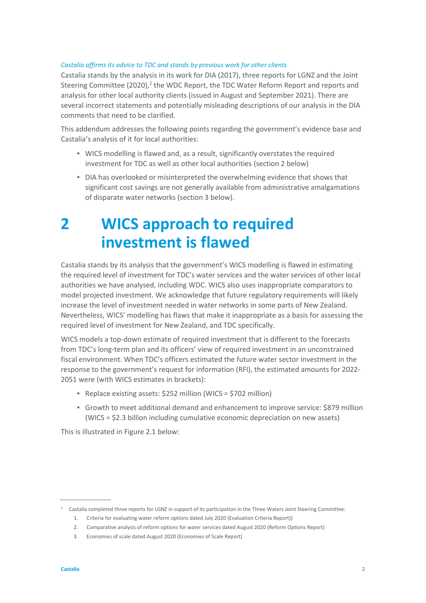#### *Castalia affirms its advice to TDC and stands by previous work for other clients*

Castalia stands by the analysis in its work for DIA (2017), three reports for LGNZ and the Joint Steering Committee (2020),<sup>2</sup> the WDC Report, the TDC Water Reform Report and reports and analysis for other local authority clients (issued in August and September 2021). There are several incorrect statements and potentially misleading descriptions of our analysis in the DIA comments that need to be clarified.

This addendum addresses the following points regarding the government's evidence base and Castalia's analysis of it for local authorities:

- **EXECO MODELLY** is flawed and, as a result, significantly overstates the required investment for TDC as well as other local authorities (section 2 below)
- DIA has overlooked or misinterpreted the overwhelming evidence that shows that significant cost savings are not generally available from administrative amalgamations of disparate water networks (section 3 below).

## **2 WICS approach to required investment is flawed**

Castalia stands by its analysis that the government's WICS modelling is flawed in estimating the required level of investment for TDC's water services and the water services of other local authorities we have analysed, including WDC. WICS also uses inappropriate comparators to model projected investment. We acknowledge that future regulatory requirements will likely increase the level of investment needed in water networks in some parts of New Zealand. Nevertheless, WICS' modelling has flaws that make it inappropriate as a basis for assessing the required level of investment for New Zealand, and TDC specifically.

WICS models a top-down estimate of required investment that is different to the forecasts from TDC's long-term plan and its officers' view of required investment in an unconstrained fiscal environment. When TDC's officers estimated the future water sector investment in the response to the government's request for information (RFI), the estimated amounts for 2022- 2051 were (with WICS estimates in brackets):

- Replace existing assets: \$252 million (WICS = \$702 million)
- Growth to meet additional demand and enhancement to improve service: \$879 million (WICS = \$2.3 billion including cumulative economic depreciation on new assets)

This is illustrated i[n Figure 2.1](#page-2-0) below:

<sup>&</sup>lt;sup>2</sup> Castalia completed three reports for LGNZ in support of its participation in the Three Waters Joint Steering Committee:

<sup>1.</sup> Criteria for evaluating water reform options dated July 2020 (Evaluation Criteria Report))

<sup>2.</sup> Comparative analysis of reform options for water services dated August 2020 (Reform Options Report)

<sup>3.</sup> Economies of scale dated August 2020 (Economies of Scale Report)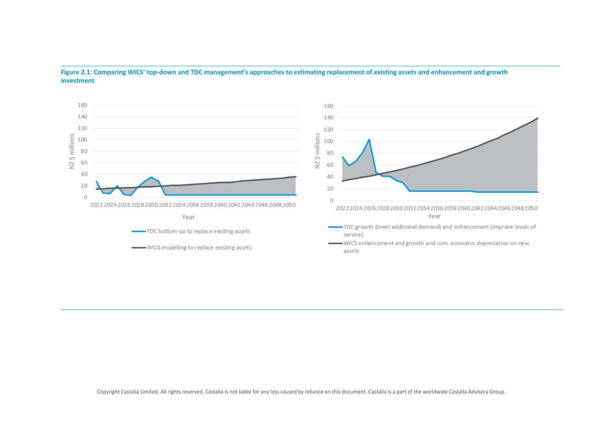

**Figure 2.1: Comparing WICS' top-down and TDC management's approaches to estimating replacement of existing assets and enhancement and growth investment**

<span id="page-2-0"></span>Copyright Castalia Limited. All rights reserved. Castalia is not liable for any loss caused by reliance on this document. Castalia is a part of the worldwide Castalia Advisory Group.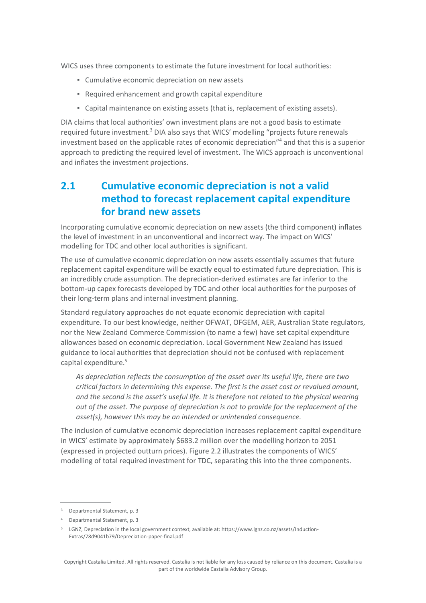WICS uses three components to estimate the future investment for local authorities:

- Cumulative economic depreciation on new assets
- Required enhancement and growth capital expenditure
- Capital maintenance on existing assets (that is, replacement of existing assets).

DIA claims that local authorities' own investment plans are not a good basis to estimate required future investment.<sup>3</sup> DIA also says that WICS' modelling "projects future renewals investment based on the applicable rates of economic depreciation"<sup>4</sup> and that this is a superior approach to predicting the required level of investment. The WICS approach is unconventional and inflates the investment projections.

### <span id="page-3-0"></span>**2.1 Cumulative economic depreciation is not a valid method to forecast replacement capital expenditure for brand new assets**

Incorporating cumulative economic depreciation on new assets (the third component) inflates the level of investment in an unconventional and incorrect way. The impact on WICS' modelling for TDC and other local authorities is significant.

The use of cumulative economic depreciation on new assets essentially assumes that future replacement capital expenditure will be exactly equal to estimated future depreciation. This is an incredibly crude assumption. The depreciation-derived estimates are far inferior to the bottom-up capex forecasts developed by TDC and other local authorities for the purposes of their long-term plans and internal investment planning.

Standard regulatory approaches do not equate economic depreciation with capital expenditure. To our best knowledge, neither OFWAT, OFGEM, AER, Australian State regulators, nor the New Zealand Commerce Commission (to name a few) have set capital expenditure allowances based on economic depreciation. Local Government New Zealand has issued guidance to local authorities that depreciation should not be confused with replacement capital expenditure.<sup>5</sup>

*As depreciation reflects the consumption of the asset over its useful life, there are two critical factors in determining this expense. The first is the asset cost or revalued amount, and the second is the asset's useful life. It is therefore not related to the physical wearing out of the asset. The purpose of depreciation is not to provide for the replacement of the asset(s), however this may be an intended or unintended consequence.*

The inclusion of cumulative economic depreciation increases replacement capital expenditure in WICS' estimate by approximately \$683.2 million over the modelling horizon to 2051 (expressed in projected outturn prices)[. Figure 2.2](#page-4-0) illustrates the components of WICS' modelling of total required investment for TDC, separating this into the three components.

<sup>&</sup>lt;sup>3</sup> Departmental Statement, p. 3

<sup>4</sup> Departmental Statement, p. 3

<sup>5</sup> LGNZ, Depreciation in the local government context, available at: https://www.lgnz.co.nz/assets/Induction-Extras/78d9041b79/Depreciation-paper-final.pdf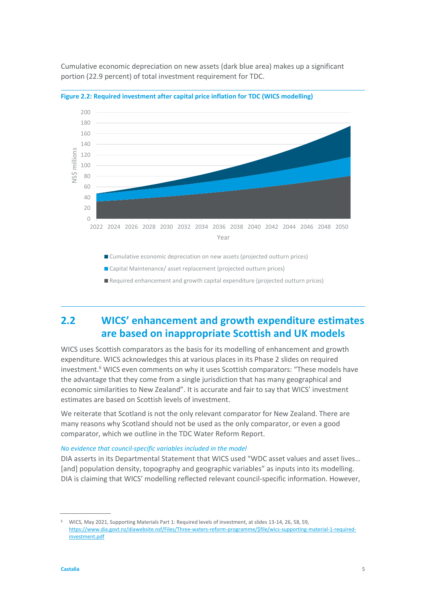

Cumulative economic depreciation on new assets (dark blue area) makes up a significant portion (22.9 percent) of total investment requirement for TDC.

<span id="page-4-0"></span>

■ Cumulative economic depreciation on new assets (projected outturn prices)

■ Capital Maintenance/ asset replacement (projected outturn prices)

Required enhancement and growth capital expenditure (projected outturn prices)

## **2.2 WICS' enhancement and growth expenditure estimates are based on inappropriate Scottish and UK models**

WICS uses Scottish comparators as the basis for its modelling of enhancement and growth expenditure. WICS acknowledges this at various places in its Phase 2 slides on required investment. <sup>6</sup> WICS even comments on why it uses Scottish comparators: "These models have the advantage that they come from a single jurisdiction that has many geographical and economic similarities to New Zealand". It is accurate and fair to say that WICS' investment estimates are based on Scottish levels of investment.

We reiterate that Scotland is not the only relevant comparator for New Zealand. There are many reasons why Scotland should not be used as the only comparator, or even a good comparator, which we outline in the TDC Water Reform Report.

#### *No evidence that council-specific variables included in the model*

DIA asserts in its Departmental Statement that WICS used "WDC asset values and asset lives… [and] population density, topography and geographic variables" as inputs into its modelling. DIA is claiming that WICS' modelling reflected relevant council-specific information. However,

<sup>6</sup> WICS, May 2021, Supporting Materials Part 1: Required levels of investment, at slides 13-14, 26, 58, 59, [https://www.dia.govt.nz/diawebsite.nsf/Files/Three-waters-reform-programme/\\$file/wics-supporting-material-1-required](https://www.dia.govt.nz/diawebsite.nsf/Files/Three-waters-reform-programme/$file/wics-supporting-material-1-required-investment.pdf)[investment.pdf](https://www.dia.govt.nz/diawebsite.nsf/Files/Three-waters-reform-programme/$file/wics-supporting-material-1-required-investment.pdf)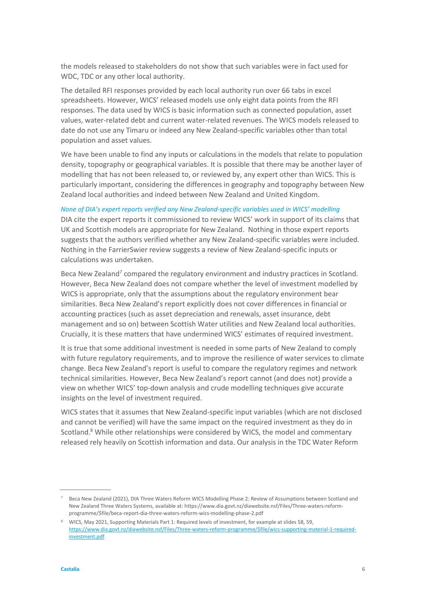the models released to stakeholders do not show that such variables were in fact used for WDC, TDC or any other local authority.

The detailed RFI responses provided by each local authority run over 66 tabs in excel spreadsheets. However, WICS' released models use only eight data points from the RFI responses. The data used by WICS is basic information such as connected population, asset values, water-related debt and current water-related revenues. The WICS models released to date do not use any Timaru or indeed any New Zealand-specific variables other than total population and asset values.

We have been unable to find any inputs or calculations in the models that relate to population density, topography or geographical variables. It is possible that there may be another layer of modelling that has not been released to, or reviewed by, any expert other than WICS. This is particularly important, considering the differences in geography and topography between New Zealand local authorities and indeed between New Zealand and United Kingdom.

#### *None of DIA's expert reports verified any New Zealand-specific variables used in WICS' modelling*

DIA cite the expert reports it commissioned to review WICS' work in support of its claims that UK and Scottish models are appropriate for New Zealand. Nothing in those expert reports suggests that the authors verified whether any New Zealand-specific variables were included. Nothing in the FarrierSwier review suggests a review of New Zealand-specific inputs or calculations was undertaken.

Beca New Zealand<sup>7</sup> compared the regulatory environment and industry practices in Scotland. However, Beca New Zealand does not compare whether the level of investment modelled by WICS is appropriate, only that the assumptions about the regulatory environment bear similarities. Beca New Zealand's report explicitly does not cover differences in financial or accounting practices (such as asset depreciation and renewals, asset insurance, debt management and so on) between Scottish Water utilities and New Zealand local authorities. Crucially, it is these matters that have undermined WICS' estimates of required investment.

It is true that some additional investment is needed in some parts of New Zealand to comply with future regulatory requirements, and to improve the resilience of water services to climate change. Beca New Zealand's report is useful to compare the regulatory regimes and network technical similarities. However, Beca New Zealand's report cannot (and does not) provide a view on whether WICS' top-down analysis and crude modelling techniques give accurate insights on the level of investment required.

WICS states that it assumes that New Zealand-specific input variables (which are not disclosed and cannot be verified) will have the same impact on the required investment as they do in Scotland.<sup>8</sup> While other relationships were considered by WICS, the model and commentary released rely heavily on Scottish information and data. Our analysis in the TDC Water Reform

<sup>7</sup> Beca New Zealand (2021), DIA Three Waters Reform WICS Modelling Phase 2: Review of Assumptions between Scotland and New Zealand Three Waters Systems, available at: https://www.dia.govt.nz/diawebsite.nsf/Files/Three-waters-reformprogramme/\$file/beca-report-dia-three-waters-reform-wics-modelling-phase-2.pdf

<sup>8</sup> WICS, May 2021, Supporting Materials Part 1: Required levels of investment, for example at slides 58, 59, [https://www.dia.govt.nz/diawebsite.nsf/Files/Three-waters-reform-programme/\\$file/wics-supporting-material-1-required](https://www.dia.govt.nz/diawebsite.nsf/Files/Three-waters-reform-programme/$file/wics-supporting-material-1-required-investment.pdf)[investment.pdf](https://www.dia.govt.nz/diawebsite.nsf/Files/Three-waters-reform-programme/$file/wics-supporting-material-1-required-investment.pdf)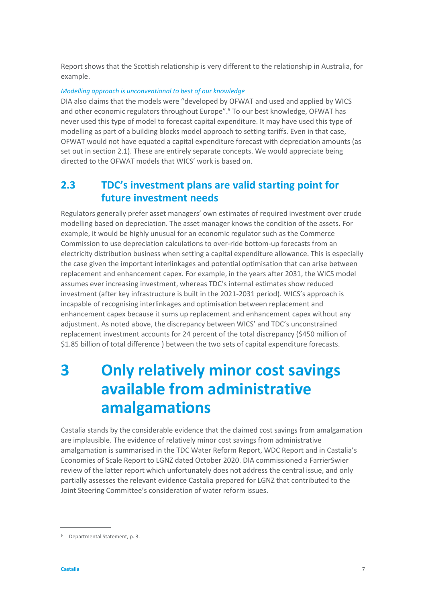Report shows that the Scottish relationship is very different to the relationship in Australia, for example.

#### *Modelling approach is unconventional to best of our knowledge*

DIA also claims that the models were "developed by OFWAT and used and applied by WICS and other economic regulators throughout Europe". <sup>9</sup> To our best knowledge, OFWAT has never used this type of model to forecast capital expenditure. It may have used this type of modelling as part of a building blocks model approach to setting tariffs. Even in that case, OFWAT would not have equated a capital expenditure forecast with depreciation amounts (as set out in section [2.1\)](#page-3-0). These are entirely separate concepts. We would appreciate being directed to the OFWAT models that WICS' work is based on.

### **2.3 TDC's investment plans are valid starting point for future investment needs**

Regulators generally prefer asset managers' own estimates of required investment over crude modelling based on depreciation. The asset manager knows the condition of the assets. For example, it would be highly unusual for an economic regulator such as the Commerce Commission to use depreciation calculations to over-ride bottom-up forecasts from an electricity distribution business when setting a capital expenditure allowance. This is especially the case given the important interlinkages and potential optimisation that can arise between replacement and enhancement capex. For example, in the years after 2031, the WICS model assumes ever increasing investment, whereas TDC's internal estimates show reduced investment (after key infrastructure is built in the 2021-2031 period). WICS's approach is incapable of recognising interlinkages and optimisation between replacement and enhancement capex because it sums up replacement and enhancement capex without any adjustment. As noted above, the discrepancy between WICS' and TDC's unconstrained replacement investment accounts for 24 percent of the total discrepancy (\$450 million of \$1.85 billion of total difference ) between the two sets of capital expenditure forecasts.

## **3 Only relatively minor cost savings available from administrative amalgamations**

Castalia stands by the considerable evidence that the claimed cost savings from amalgamation are implausible. The evidence of relatively minor cost savings from administrative amalgamation is summarised in the TDC Water Reform Report, WDC Report and in Castalia's Economies of Scale Report to LGNZ dated October 2020. DIA commissioned a FarrierSwier review of the latter report which unfortunately does not address the central issue, and only partially assesses the relevant evidence Castalia prepared for LGNZ that contributed to the Joint Steering Committee's consideration of water reform issues.

<sup>9</sup> Departmental Statement, p. 3.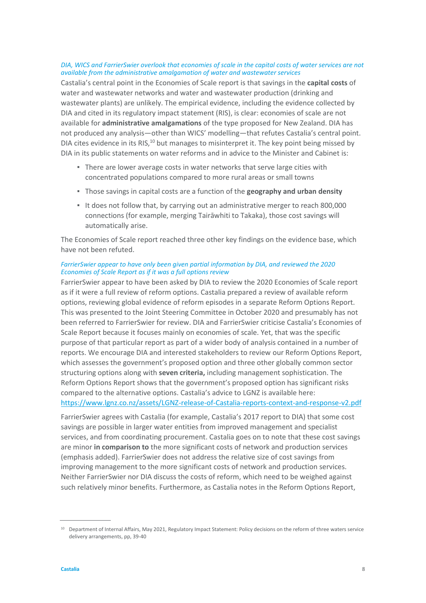#### *DIA, WICS and FarrierSwier overlook that economies of scale in the capital costs of water services are not available from the administrative amalgamation of water and wastewater services*

Castalia's central point in the Economies of Scale report is that savings in the **capital costs** of water and wastewater networks and water and wastewater production (drinking and wastewater plants) are unlikely. The empirical evidence, including the evidence collected by DIA and cited in its regulatory impact statement (RIS), is clear: economies of scale are not available for **administrative amalgamations** of the type proposed for New Zealand. DIA has not produced any analysis—other than WICS' modelling—that refutes Castalia's central point. DIA cites evidence in its RIS, $^{10}$  but manages to misinterpret it. The key point being missed by DIA in its public statements on water reforms and in advice to the Minister and Cabinet is:

- **There are lower average costs in water networks that serve large cities with** concentrated populations compared to more rural areas or small towns
- Those savings in capital costs are a function of the **geography and urban density**
- It does not follow that, by carrying out an administrative merger to reach 800,000 connections (for example, merging Tairāwhiti to Takaka), those cost savings will automatically arise.

The Economies of Scale report reached three other key findings on the evidence base, which have not been refuted.

#### *FarrierSwier appear to have only been given partial information by DIA, and reviewed the 2020 Economies of Scale Report as if it was a full options review*

FarrierSwier appear to have been asked by DIA to review the 2020 Economies of Scale report as if it were a full review of reform options. Castalia prepared a review of available reform options, reviewing global evidence of reform episodes in a separate Reform Options Report. This was presented to the Joint Steering Committee in October 2020 and presumably has not been referred to FarrierSwier for review. DIA and FarrierSwier criticise Castalia's Economies of Scale Report because it focuses mainly on economies of scale. Yet, that was the specific purpose of that particular report as part of a wider body of analysis contained in a number of reports. We encourage DIA and interested stakeholders to review our Reform Options Report, which assesses the government's proposed option and three other globally common sector structuring options along with **seven criteria,** including management sophistication. The Reform Options Report shows that the government's proposed option has significant risks compared to the alternative options. Castalia's advice to LGNZ is available here: <https://www.lgnz.co.nz/assets/LGNZ-release-of-Castalia-reports-context-and-response-v2.pdf>

FarrierSwier agrees with Castalia (for example, Castalia's 2017 report to DIA) that some cost savings are possible in larger water entities from improved management and specialist services, and from coordinating procurement. Castalia goes on to note that these cost savings are minor **in comparison to** the more significant costs of network and production services (emphasis added). FarrierSwier does not address the relative size of cost savings from improving management to the more significant costs of network and production services. Neither FarrierSwier nor DIA discuss the costs of reform, which need to be weighed against such relatively minor benefits. Furthermore, as Castalia notes in the Reform Options Report,

<sup>&</sup>lt;sup>10</sup> Department of Internal Affairs, May 2021, Regulatory Impact Statement: Policy decisions on the reform of three waters service delivery arrangements, pp, 39-40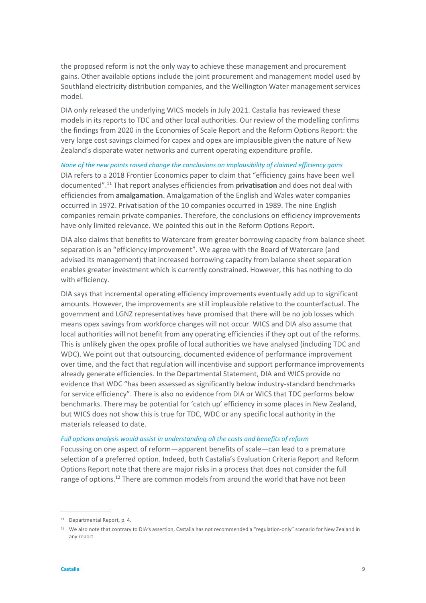the proposed reform is not the only way to achieve these management and procurement gains. Other available options include the joint procurement and management model used by Southland electricity distribution companies, and the Wellington Water management services model.

DIA only released the underlying WICS models in July 2021. Castalia has reviewed these models in its reports to TDC and other local authorities. Our review of the modelling confirms the findings from 2020 in the Economies of Scale Report and the Reform Options Report: the very large cost savings claimed for capex and opex are implausible given the nature of New Zealand's disparate water networks and current operating expenditure profile.

*None of the new points raised change the conclusions on implausibility of claimed efficiency gains*

DIA refers to a 2018 Frontier Economics paper to claim that "efficiency gains have been well documented". <sup>11</sup> That report analyses efficiencies from **privatisation** and does not deal with efficiencies from **amalgamation**. Amalgamation of the English and Wales water companies occurred in 1972. Privatisation of the 10 companies occurred in 1989. The nine English companies remain private companies. Therefore, the conclusions on efficiency improvements have only limited relevance. We pointed this out in the Reform Options Report.

DIA also claims that benefits to Watercare from greater borrowing capacity from balance sheet separation is an "efficiency improvement". We agree with the Board of Watercare (and advised its management) that increased borrowing capacity from balance sheet separation enables greater investment which is currently constrained. However, this has nothing to do with efficiency.

DIA says that incremental operating efficiency improvements eventually add up to significant amounts. However, the improvements are still implausible relative to the counterfactual. The government and LGNZ representatives have promised that there will be no job losses which means opex savings from workforce changes will not occur. WICS and DIA also assume that local authorities will not benefit from any operating efficiencies if they opt out of the reforms. This is unlikely given the opex profile of local authorities we have analysed (including TDC and WDC). We point out that outsourcing, documented evidence of performance improvement over time, and the fact that regulation will incentivise and support performance improvements already generate efficiencies. In the Departmental Statement, DIA and WICS provide no evidence that WDC "has been assessed as significantly below industry-standard benchmarks for service efficiency". There is also no evidence from DIA or WICS that TDC performs below benchmarks. There may be potential for 'catch up' efficiency in some places in New Zealand, but WICS does not show this is true for TDC, WDC or any specific local authority in the materials released to date.

#### *Full options analysis would assist in understanding all the costs and benefits of reform*

Focussing on one aspect of reform—apparent benefits of scale—can lead to a premature selection of a preferred option. Indeed, both Castalia's Evaluation Criteria Report and Reform Options Report note that there are major risks in a process that does not consider the full range of options.<sup>12</sup> There are common models from around the world that have not been

<sup>11</sup> Departmental Report, p. 4.

<sup>&</sup>lt;sup>12</sup> We also note that contrary to DIA's assertion, Castalia has not recommended a "regulation-only" scenario for New Zealand in any report.